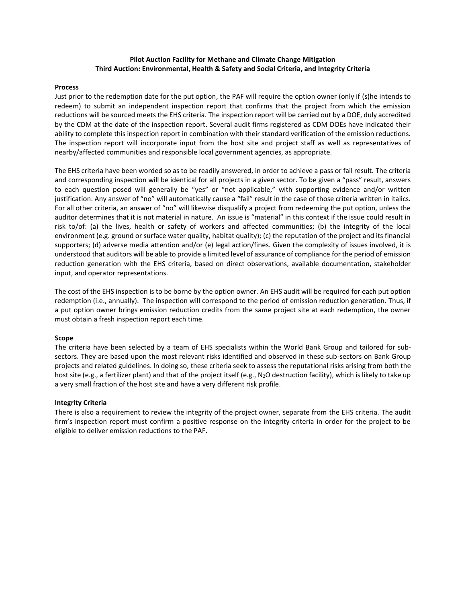# **Pilot Auction Facility for Methane and Climate Change Mitigation Third Auction: Environmental, Health & Safety and Social Criteria, and Integrity Criteria**

### **Process**

Just prior to the redemption date for the put option, the PAF will require the option owner (only if (s)he intends to redeem) to submit an independent inspection report that confirms that the project from which the emission reductions will be sourced meets the EHS criteria. The inspection report will be carried out by a DOE, duly accredited by the CDM at the date of the inspection report. Several audit firms registered as CDM DOEs have indicated their ability to complete this inspection report in combination with their standard verification of the emission reductions. The inspection report will incorporate input from the host site and project staff as well as representatives of nearby/affected communities and responsible local government agencies, as appropriate.

The EHS criteria have been worded so as to be readily answered, in order to achieve a pass or fail result. The criteria and corresponding inspection will be identical for all projects in a given sector. To be given a "pass" result, answers to each question posed will generally be "yes" or "not applicable," with supporting evidence and/or written justification. Any answer of "no" will automatically cause a "fail" result in the case of those criteria written in italics. For all other criteria, an answer of "no" will likewise disqualify a project from redeeming the put option, unless the auditor determines that it is not material in nature. An issue is "material" in this context if the issue could result in risk to/of: (a) the lives, health or safety of workers and affected communities; (b) the integrity of the local environment (e.g. ground or surface water quality, habitat quality); (c) the reputation of the project and its financial supporters; (d) adverse media attention and/or (e) legal action/fines. Given the complexity of issues involved, it is understood that auditors will be able to provide a limited level of assurance of compliance for the period of emission reduction generation with the EHS criteria, based on direct observations, available documentation, stakeholder input, and operator representations.

The cost of the EHS inspection is to be borne by the option owner. An EHS audit will be required for each put option redemption (i.e., annually). The inspection will correspond to the period of emission reduction generation. Thus, if a put option owner brings emission reduction credits from the same project site at each redemption, the owner must obtain a fresh inspection report each time.

# **Scope**

The criteria have been selected by a team of EHS specialists within the World Bank Group and tailored for subsectors. They are based upon the most relevant risks identified and observed in these sub-sectors on Bank Group projects and related guidelines. In doing so, these criteria seek to assess the reputational risks arising from both the host site (e.g., a fertilizer plant) and that of the project itself (e.g., N<sub>2</sub>O destruction facility), which is likely to take up a very small fraction of the host site and have a very different risk profile.

### **Integrity Criteria**

There is also a requirement to review the integrity of the project owner, separate from the EHS criteria. The audit firm's inspection report must confirm a positive response on the integrity criteria in order for the project to be eligible to deliver emission reductions to the PAF.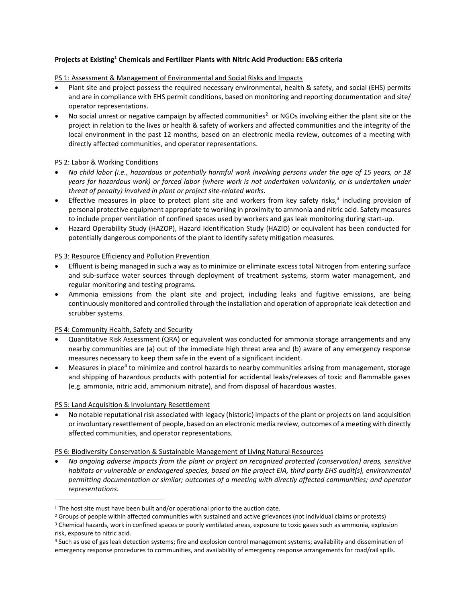# **Projects at Existing<sup>1</sup> Chemicals and Fertilizer Plants with Nitric Acid Production: E&S criteria**

# PS 1: Assessment & Management of Environmental and Social Risks and Impacts

- Plant site and project possess the required necessary environmental, health & safety, and social (EHS) permits and are in compliance with EHS permit conditions, based on monitoring and reporting documentation and site/ operator representations.
- No social unrest or negative campaign by affected communities<sup>2</sup> or NGOs involving either the plant site or the project in relation to the lives or health & safety of workers and affected communities and the integrity of the local environment in the past 12 months, based on an electronic media review, outcomes of a meeting with directly affected communities, and operator representations.

# PS 2: Labor & Working Conditions

- *No child labor (i.e., hazardous or potentially harmful work involving persons under the age of 15 years, or 18 years for hazardous work) or forced labor (where work is not undertaken voluntarily, or is undertaken under threat of penalty) involved in plant or project site-related works.*
- Effective measures in place to protect plant site and workers from key safety risks,<sup>3</sup> including provision of personal protective equipment appropriate to working in proximity to ammonia and nitric acid. Safety measures to include proper ventilation of confined spaces used by workers and gas leak monitoring during start-up.
- Hazard Operability Study (HAZOP), Hazard Identification Study (HAZID) or equivalent has been conducted for potentially dangerous components of the plant to identify safety mitigation measures.

# PS 3: Resource Efficiency and Pollution Prevention

- Effluent is being managed in such a way as to minimize or eliminate excess total Nitrogen from entering surface and sub-surface water sources through deployment of treatment systems, storm water management, and regular monitoring and testing programs.
- Ammonia emissions from the plant site and project, including leaks and fugitive emissions, are being continuously monitored and controlled through the installation and operation of appropriate leak detection and scrubber systems.

# PS 4: Community Health, Safety and Security

- Quantitative Risk Assessment (QRA) or equivalent was conducted for ammonia storage arrangements and any nearby communities are (a) out of the immediate high threat area and (b) aware of any emergency response measures necessary to keep them safe in the event of a significant incident.
- Measures in place<sup>4</sup> to minimize and control hazards to nearby communities arising from management, storage and shipping of hazardous products with potential for accidental leaks/releases of toxic and flammable gases (e.g. ammonia, nitric acid, ammonium nitrate), and from disposal of hazardous wastes.

# PS 5: Land Acquisition & Involuntary Resettlement

 $\overline{\phantom{a}}$ 

 No notable reputational risk associated with legacy (historic) impacts of the plant or projects on land acquisition or involuntary resettlement of people, based on an electronic media review, outcomes of a meeting with directly affected communities, and operator representations.

# PS 6: Biodiversity Conservation & Sustainable Management of Living Natural Resources

 *No ongoing adverse impacts from the plant or project on recognized protected (conservation) areas, sensitive habitats or vulnerable or endangered species, based on the project EIA, third party EHS audit(s), environmental permitting documentation or similar; outcomes of a meeting with directly affected communities; and operator representations.*

<sup>&</sup>lt;sup>1</sup> The host site must have been built and/or operational prior to the auction date.

<sup>&</sup>lt;sup>2</sup> Groups of people within affected communities with sustained and active grievances (not individual claims or protests)

<sup>&</sup>lt;sup>3</sup> Chemical hazards, work in confined spaces or poorly ventilated areas, exposure to toxic gases such as ammonia, explosion risk, exposure to nitric acid.

<sup>4</sup> Such as use of gas leak detection systems; fire and explosion control management systems; availability and dissemination of emergency response procedures to communities, and availability of emergency response arrangements for road/rail spills.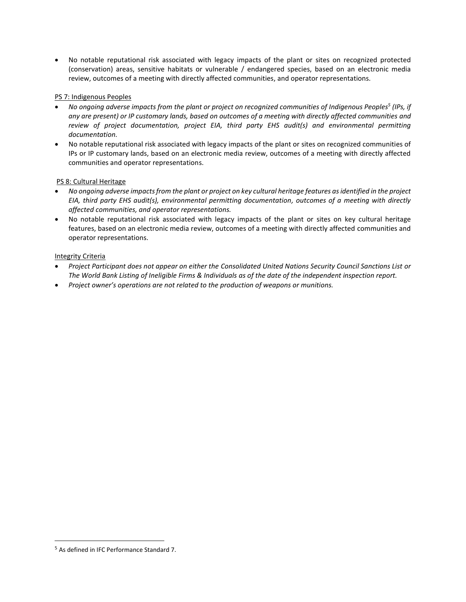No notable reputational risk associated with legacy impacts of the plant or sites on recognized protected (conservation) areas, sensitive habitats or vulnerable / endangered species, based on an electronic media review, outcomes of a meeting with directly affected communities, and operator representations.

# PS 7: Indigenous Peoples

- *No ongoing adverse impacts from the plant or project on recognized communities of Indigenous Peoples<sup>5</sup> (IPs, if any are present) or IP customary lands, based on outcomes of a meeting with directly affected communities and review of project documentation, project EIA, third party EHS audit(s) and environmental permitting documentation.*
- No notable reputational risk associated with legacy impacts of the plant or sites on recognized communities of IPs or IP customary lands, based on an electronic media review, outcomes of a meeting with directly affected communities and operator representations.

# PS 8: Cultural Heritage

- *No ongoing adverse impacts from the plant or project on key cultural heritage features as identified in the project EIA, third party EHS audit(s), environmental permitting documentation, outcomes of a meeting with directly affected communities, and operator representations.*
- No notable reputational risk associated with legacy impacts of the plant or sites on key cultural heritage features, based on an electronic media review, outcomes of a meeting with directly affected communities and operator representations.

# Integrity Criteria

- *Project Participant does not appear on either the [Consolidated United Nations Security Council Sanctions List o](http://www.un.org/sc/committees/list_compend.shtml)r [The World Bank Listing of Ineligible Firms & Individuals](http://web.worldbank.org/external/default/main?theSitePK=84266&contentMDK=64069844&menuPK=116730&pagePK=64148989&piPK=64148984http://web.worldbank.org/external/default/main?theSitePK=84266&contentMDK=64069844&menuPK=116730&pagePK=64148989&piPK=64148984) as of the date of the independent inspection report.*
- *Project owner's operations are not related to the production of weapons or munitions.*

 $\overline{\phantom{a}}$ 

<sup>5</sup> As defined in IFC Performance Standard 7.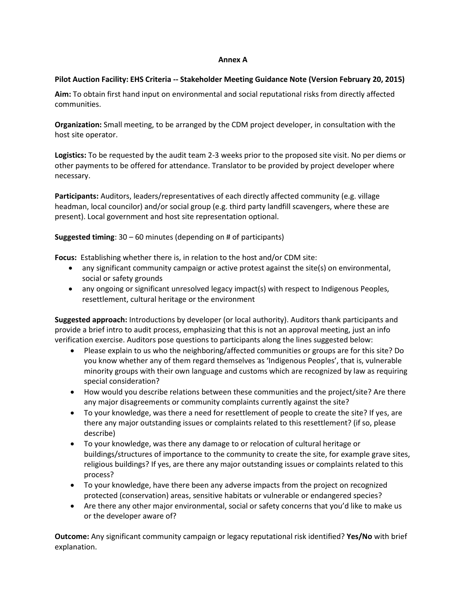# **Annex A**

# **Pilot Auction Facility: EHS Criteria -- Stakeholder Meeting Guidance Note (Version February 20, 2015)**

**Aim:** To obtain first hand input on environmental and social reputational risks from directly affected communities.

**Organization:** Small meeting, to be arranged by the CDM project developer, in consultation with the host site operator.

**Logistics:** To be requested by the audit team 2-3 weeks prior to the proposed site visit. No per diems or other payments to be offered for attendance. Translator to be provided by project developer where necessary.

**Participants:** Auditors, leaders/representatives of each directly affected community (e.g. village headman, local councilor) and/or social group (e.g. third party landfill scavengers, where these are present). Local government and host site representation optional.

# **Suggested timing**: 30 – 60 minutes (depending on # of participants)

**Focus:** Establishing whether there is, in relation to the host and/or CDM site:

- any significant community campaign or active protest against the site(s) on environmental, social or safety grounds
- any ongoing or significant unresolved legacy impact(s) with respect to Indigenous Peoples, resettlement, cultural heritage or the environment

**Suggested approach:** Introductions by developer (or local authority). Auditors thank participants and provide a brief intro to audit process, emphasizing that this is not an approval meeting, just an info verification exercise. Auditors pose questions to participants along the lines suggested below:

- Please explain to us who the neighboring/affected communities or groups are for this site? Do you know whether any of them regard themselves as 'Indigenous Peoples', that is, vulnerable minority groups with their own language and customs which are recognized by law as requiring special consideration?
- How would you describe relations between these communities and the project/site? Are there any major disagreements or community complaints currently against the site?
- To your knowledge, was there a need for resettlement of people to create the site? If yes, are there any major outstanding issues or complaints related to this resettlement? (if so, please describe)
- To your knowledge, was there any damage to or relocation of cultural heritage or buildings/structures of importance to the community to create the site, for example grave sites, religious buildings? If yes, are there any major outstanding issues or complaints related to this process?
- To your knowledge, have there been any adverse impacts from the project on recognized protected (conservation) areas, sensitive habitats or vulnerable or endangered species?
- Are there any other major environmental, social or safety concerns that you'd like to make us or the developer aware of?

**Outcome:** Any significant community campaign or legacy reputational risk identified? **Yes/No** with brief explanation.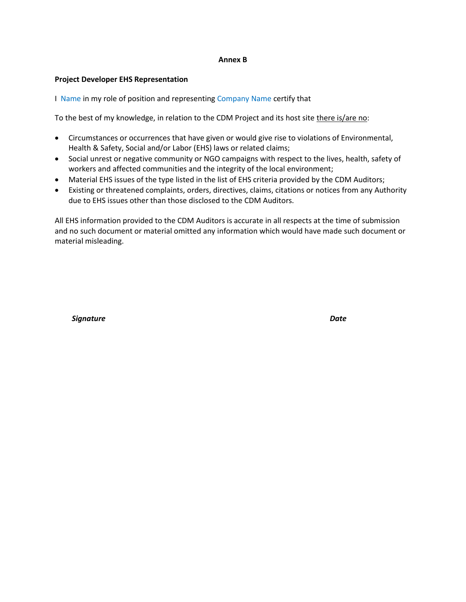### **Annex B**

# **Project Developer EHS Representation**

I Name in my role of position and representing Company Name certify that

To the best of my knowledge, in relation to the CDM Project and its host site there is/are no:

- Circumstances or occurrences that have given or would give rise to violations of Environmental, Health & Safety, Social and/or Labor (EHS) laws or related claims;
- Social unrest or negative community or NGO campaigns with respect to the lives, health, safety of workers and affected communities and the integrity of the local environment;
- Material EHS issues of the type listed in the list of EHS criteria provided by the CDM Auditors;
- Existing or threatened complaints, orders, directives, claims, citations or notices from any Authority due to EHS issues other than those disclosed to the CDM Auditors.

All EHS information provided to the CDM Auditors is accurate in all respects at the time of submission and no such document or material omitted any information which would have made such document or material misleading.

 *Signature Date*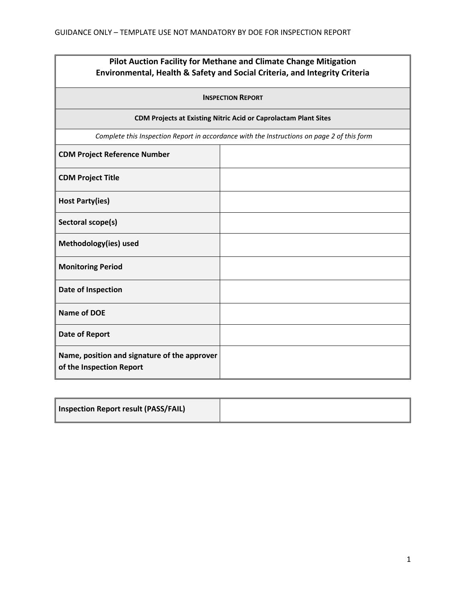# **Pilot Auction Facility for Methane and Climate Change Mitigation Environmental, Health & Safety and Social Criteria, and Integrity Criteria**

| <b>INSPECTION REPORT</b>                                                                   |  |  |
|--------------------------------------------------------------------------------------------|--|--|
| <b>CDM Projects at Existing Nitric Acid or Caprolactam Plant Sites</b>                     |  |  |
| Complete this Inspection Report in accordance with the Instructions on page 2 of this form |  |  |
| <b>CDM Project Reference Number</b>                                                        |  |  |
| <b>CDM Project Title</b>                                                                   |  |  |
| <b>Host Party(ies)</b>                                                                     |  |  |
| Sectoral scope(s)                                                                          |  |  |
| Methodology(ies) used                                                                      |  |  |
| <b>Monitoring Period</b>                                                                   |  |  |
| Date of Inspection                                                                         |  |  |
| <b>Name of DOE</b>                                                                         |  |  |
| <b>Date of Report</b>                                                                      |  |  |
| Name, position and signature of the approver<br>of the Inspection Report                   |  |  |

| Inspection Report result (PASS/FAIL) |  |
|--------------------------------------|--|
|--------------------------------------|--|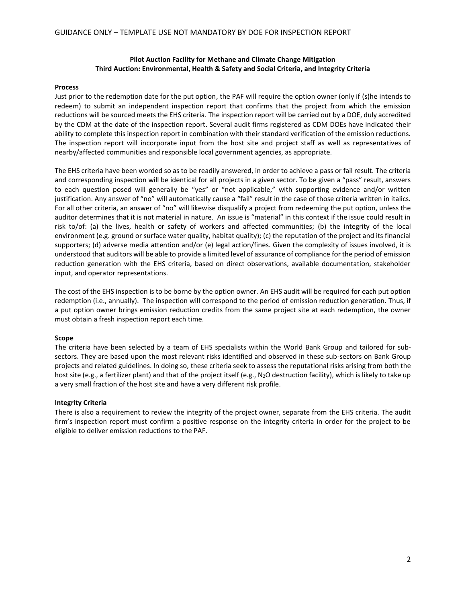### **Pilot Auction Facility for Methane and Climate Change Mitigation Third Auction: Environmental, Health & Safety and Social Criteria, and Integrity Criteria**

#### **Process**

Just prior to the redemption date for the put option, the PAF will require the option owner (only if (s)he intends to redeem) to submit an independent inspection report that confirms that the project from which the emission reductions will be sourced meets the EHS criteria. The inspection report will be carried out by a DOE, duly accredited by the CDM at the date of the inspection report. Several audit firms registered as CDM DOEs have indicated their ability to complete this inspection report in combination with their standard verification of the emission reductions. The inspection report will incorporate input from the host site and project staff as well as representatives of nearby/affected communities and responsible local government agencies, as appropriate.

The EHS criteria have been worded so as to be readily answered, in order to achieve a pass or fail result. The criteria and corresponding inspection will be identical for all projects in a given sector. To be given a "pass" result, answers to each question posed will generally be "yes" or "not applicable," with supporting evidence and/or written justification. Any answer of "no" will automatically cause a "fail" result in the case of those criteria written in italics. For all other criteria, an answer of "no" will likewise disqualify a project from redeeming the put option, unless the auditor determines that it is not material in nature. An issue is "material" in this context if the issue could result in risk to/of: (a) the lives, health or safety of workers and affected communities; (b) the integrity of the local environment (e.g. ground or surface water quality, habitat quality); (c) the reputation of the project and its financial supporters; (d) adverse media attention and/or (e) legal action/fines. Given the complexity of issues involved, it is understood that auditors will be able to provide a limited level of assurance of compliance for the period of emission reduction generation with the EHS criteria, based on direct observations, available documentation, stakeholder input, and operator representations.

The cost of the EHS inspection is to be borne by the option owner. An EHS audit will be required for each put option redemption (i.e., annually). The inspection will correspond to the period of emission reduction generation. Thus, if a put option owner brings emission reduction credits from the same project site at each redemption, the owner must obtain a fresh inspection report each time.

### **Scope**

The criteria have been selected by a team of EHS specialists within the World Bank Group and tailored for subsectors. They are based upon the most relevant risks identified and observed in these sub-sectors on Bank Group projects and related guidelines. In doing so, these criteria seek to assess the reputational risks arising from both the host site (e.g., a fertilizer plant) and that of the project itself (e.g., N<sub>2</sub>O destruction facility), which is likely to take up a very small fraction of the host site and have a very different risk profile.

#### **Integrity Criteria**

There is also a requirement to review the integrity of the project owner, separate from the EHS criteria. The audit firm's inspection report must confirm a positive response on the integrity criteria in order for the project to be eligible to deliver emission reductions to the PAF.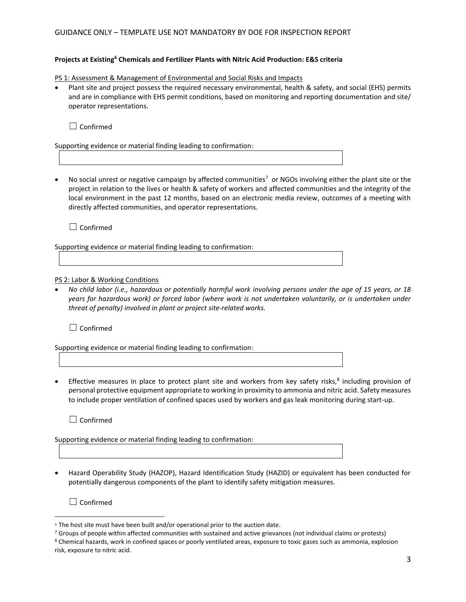# GUIDANCE ONLY – TEMPLATE USE NOT MANDATORY BY DOE FOR INSPECTION REPORT

# **Projects at Existing<sup>6</sup> Chemicals and Fertilizer Plants with Nitric Acid Production: E&S criteria**

PS 1: Assessment & Management of Environmental and Social Risks and Impacts

 Plant site and project possess the required necessary environmental, health & safety, and social (EHS) permits and are in compliance with EHS permit conditions, based on monitoring and reporting documentation and site/ operator representations.

 $\Box$  Confirmed

Supporting evidence or material finding leading to confirmation:

No social unrest or negative campaign by affected communities<sup>7</sup> or NGOs involving either the plant site or the project in relation to the lives or health & safety of workers and affected communities and the integrity of the local environment in the past 12 months, based on an electronic media review, outcomes of a meeting with directly affected communities, and operator representations.

□ Confirmed

Supporting evidence or material finding leading to confirmation:

PS 2: Labor & Working Conditions

 *No child labor (i.e., hazardous or potentially harmful work involving persons under the age of 15 years, or 18 years for hazardous work) or forced labor (where work is not undertaken voluntarily, or is undertaken under threat of penalty) involved in plant or project site-related works.*

□ Confirmed

Supporting evidence or material finding leading to confirmation:

• Effective measures in place to protect plant site and workers from key safety risks,<sup>8</sup> including provision of personal protective equipment appropriate to working in proximity to ammonia and nitric acid. Safety measures to include proper ventilation of confined spaces used by workers and gas leak monitoring during start-up.

□ Confirmed

Supporting evidence or material finding leading to confirmation:

 Hazard Operability Study (HAZOP), Hazard Identification Study (HAZID) or equivalent has been conducted for potentially dangerous components of the plant to identify safety mitigation measures.

☐ Confirmed

 $\overline{a}$ 

 $6$  The host site must have been built and/or operational prior to the auction date.

<sup>&</sup>lt;sup>7</sup> Groups of people within affected communities with sustained and active grievances (not individual claims or protests) <sup>8</sup> Chemical hazards, work in confined spaces or poorly ventilated areas, exposure to toxic gases such as ammonia, explosion risk, exposure to nitric acid.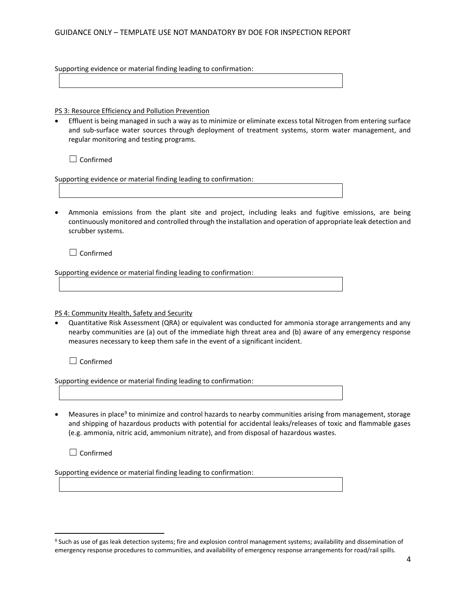# GUIDANCE ONLY – TEMPLATE USE NOT MANDATORY BY DOE FOR INSPECTION REPORT

Supporting evidence or material finding leading to confirmation:

PS 3: Resource Efficiency and Pollution Prevention

 Effluent is being managed in such a way as to minimize or eliminate excess total Nitrogen from entering surface and sub-surface water sources through deployment of treatment systems, storm water management, and regular monitoring and testing programs.

□ Confirmed

Supporting evidence or material finding leading to confirmation:

 Ammonia emissions from the plant site and project, including leaks and fugitive emissions, are being continuously monitored and controlled through the installation and operation of appropriate leak detection and scrubber systems.

□ Confirmed

Supporting evidence or material finding leading to confirmation:

PS 4: Community Health, Safety and Security

 Quantitative Risk Assessment (QRA) or equivalent was conducted for ammonia storage arrangements and any nearby communities are (a) out of the immediate high threat area and (b) aware of any emergency response measures necessary to keep them safe in the event of a significant incident.

☐ Confirmed

Supporting evidence or material finding leading to confirmation:

• Measures in place<sup>9</sup> to minimize and control hazards to nearby communities arising from management, storage and shipping of hazardous products with potential for accidental leaks/releases of toxic and flammable gases (e.g. ammonia, nitric acid, ammonium nitrate), and from disposal of hazardous wastes.

☐ Confirmed

 $\overline{\phantom{a}}$ 

Supporting evidence or material finding leading to confirmation:

<sup>9</sup> Such as use of gas leak detection systems; fire and explosion control management systems; availability and dissemination of emergency response procedures to communities, and availability of emergency response arrangements for road/rail spills.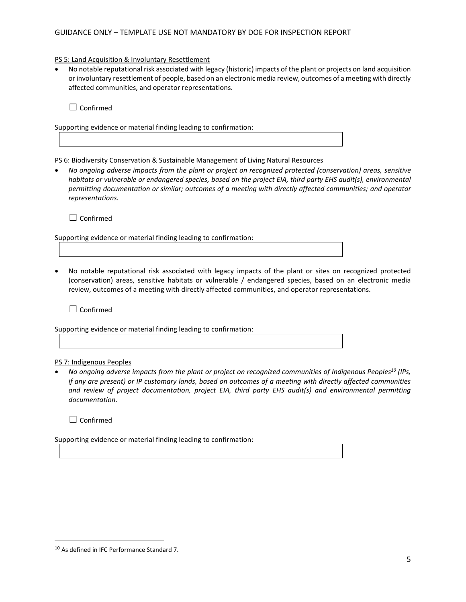# GUIDANCE ONLY – TEMPLATE USE NOT MANDATORY BY DOE FOR INSPECTION REPORT

### PS 5: Land Acquisition & Involuntary Resettlement

 No notable reputational risk associated with legacy (historic) impacts of the plant or projects on land acquisition or involuntary resettlement of people, based on an electronic media review, outcomes of a meeting with directly affected communities, and operator representations.

 $\Box$  Confirmed

Supporting evidence or material finding leading to confirmation:

PS 6: Biodiversity Conservation & Sustainable Management of Living Natural Resources

 *No ongoing adverse impacts from the plant or project on recognized protected (conservation) areas, sensitive habitats or vulnerable or endangered species, based on the project EIA, third party EHS audit(s), environmental permitting documentation or similar; outcomes of a meeting with directly affected communities; and operator representations.*

☐ Confirmed

Supporting evidence or material finding leading to confirmation:

 No notable reputational risk associated with legacy impacts of the plant or sites on recognized protected (conservation) areas, sensitive habitats or vulnerable / endangered species, based on an electronic media review, outcomes of a meeting with directly affected communities, and operator representations.

☐ Confirmed

Supporting evidence or material finding leading to confirmation:

# PS 7: Indigenous Peoples

 *No ongoing adverse impacts from the plant or project on recognized communities of Indigenous Peoples<sup>10</sup> (IPs, if any are present) or IP customary lands, based on outcomes of a meeting with directly affected communities and review of project documentation, project EIA, third party EHS audit(s) and environmental permitting documentation.*

□ Confirmed

 $\overline{\phantom{a}}$ 

Supporting evidence or material finding leading to confirmation:

<sup>10</sup> As defined in IFC Performance Standard 7.